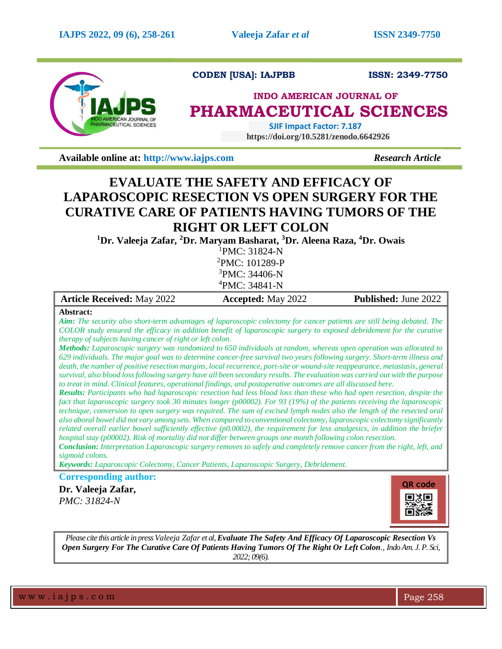

## **CODEN [USA]: IAJPBB ISSN: 2349-7750**

# **INDO AMERICAN JOURNAL OF PHARMACEUTICAL SCIENCES**

 **SJIF Impact Factor: 7.187 https://doi.org/10.5281/zenodo.6642926** 

**Available online at:** [http://www.iajps.com](http://www.iajps.com/) *Research Article* 

## **EVALUATE THE SAFETY AND EFFICACY OF LAPAROSCOPIC RESECTION VS OPEN SURGERY FOR THE CURATIVE CARE OF PATIENTS HAVING TUMORS OF THE RIGHT OR LEFT COLON**

**<sup>1</sup>Dr. Valeeja Zafar, <sup>2</sup>Dr. Maryam Basharat, <sup>3</sup>Dr. Aleena Raza, <sup>4</sup>Dr. Owais**

PMC: 31824-N PMC: 101289-P PMC: 34406-N PMC: 34841-N

| <b>Article Received: May 2022</b> | <b>Accepted:</b> May 2022 | <b>Published: June 2022</b> |
|-----------------------------------|---------------------------|-----------------------------|
|                                   |                           |                             |

### **Abstract:**

*Aim: The security also short-term advantages of laparoscopic colectomy for cancer patients are still being debated. The COLOR study ensured the efficacy in addition benefit of laparoscopic surgery to exposed debridement for the curative therapy of subjects having cancer of right or left colon.*

*Methods: Laparoscopic surgery was randomized to 650 individuals at random, whereas open operation was allocated to 629 individuals. The major goal was to determine cancer-free survival two years following surgery. Short-term illness and death, the number of positive resection margins, local recurrence, port-site or wound-site reappearance, metastasis, general survival, also blood loss following surgery have all been secondary results. The evaluation was carried out with the purpose to treat in mind. Clinical features, operational findings, and postoperative outcomes are all discussed here.*

*Results: Participants who had laparoscopic resection had less blood loss than these who had open resection, despite the fact that laparoscopic surgery took 30 minutes longer (p00002). For 93 (19%) of the patients receiving the laparoscopic technique, conversion to open surgery was required. The sum of excised lymph nodes also the length of the resected oral also aboral bowel did not vary among sets. When compared to conventional colectomy, laparoscopic colectomy significantly related overall earlier bowel sufficiently effective (p0.0002), the requirement for less analgesics, in addition the briefer hospital stay (p00002). Risk of mortality did not differ between groups one month following colon resection.*

*Conclusion: Interpretation Laparoscopic surgery removes to safely and completely remove cancer from the right, left, and sigmoid colons.*

*Keywords: Laparoscopic Colectomy, Cancer Patients, Laparoscopic Surgery, Debridement.*

**Corresponding author:** 

**Dr. Valeeja Zafar,** *PMC: 31824-N*



*Please cite this article in press Valeeja Zafar et al, Evaluate The Safety And Efficacy Of Laparoscopic Resection Vs Open Surgery For The Curative Care Of Patients Having Tumors Of The Right Or Left Colon., Indo Am. J. P. Sci, 2022; 09(6).*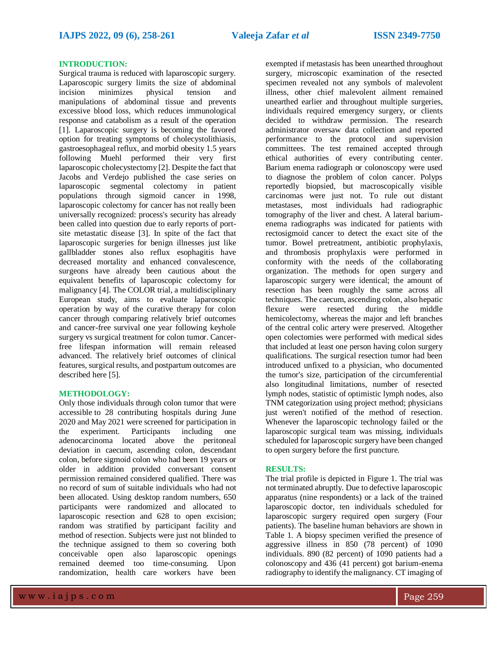### **INTRODUCTION:**

Surgical trauma is reduced with laparoscopic surgery. Laparoscopic surgery limits the size of abdominal incision minimizes physical tension and manipulations of abdominal tissue and prevents excessive blood loss, which reduces immunological response and catabolism as a result of the operation [1]. Laparoscopic surgery is becoming the favored option for treating symptoms of cholecystolithiasis, gastroesophageal reflux, and morbid obesity 1.5 years following Muehl performed their very first laparoscopic cholecystectomy [2]. Despite the fact that Jacobs and Verdejo published the case series on laparoscopic segmental colectomy in patient populations through sigmoid cancer in 1998, laparoscopic colectomy for cancer has not really been universally recognized: process's security has already been called into question due to early reports of portsite metastatic disease [3]. In spite of the fact that laparoscopic surgeries for benign illnesses just like gallbladder stones also reflux esophagitis have decreased mortality and enhanced convalescence, surgeons have already been cautious about the equivalent benefits of laparoscopic colectomy for malignancy [4]. The COLOR trial, a multidisciplinary European study, aims to evaluate laparoscopic operation by way of the curative therapy for colon cancer through comparing relatively brief outcomes and cancer-free survival one year following keyhole surgery vs surgical treatment for colon tumor. Cancerfree lifespan information will remain released advanced. The relatively brief outcomes of clinical features, surgical results, and postpartum outcomes are described here [5].

### **METHODOLOGY:**

Only those individuals through colon tumor that were accessible to 28 contributing hospitals during June 2020 and May 2021 were screened for participation in the experiment. Participants including one adenocarcinoma located above the peritoneal deviation in caecum, ascending colon, descendant colon, before sigmoid colon who had been 19 years or older in addition provided conversant consent permission remained considered qualified. There was no record of sum of suitable individuals who had not been allocated. Using desktop random numbers, 650 participants were randomized and allocated to laparoscopic resection and 628 to open excision; random was stratified by participant facility and method of resection. Subjects were just not blinded to the technique assigned to them so covering both conceivable open also laparoscopic openings remained deemed too time-consuming. Upon randomization, health care workers have been

exempted if metastasis has been unearthed throughout surgery, microscopic examination of the resected specimen revealed not any symbols of malevolent illness, other chief malevolent ailment remained unearthed earlier and throughout multiple surgeries, individuals required emergency surgery, or clients decided to withdraw permission. The research administrator oversaw data collection and reported performance to the protocol and supervision committees. The test remained accepted through ethical authorities of every contributing center. Barium enema radiograph or colonoscopy were used to diagnose the problem of colon cancer. Polyps reportedly biopsied, but macroscopically visible carcinomas were just not. To rule out distant metastases, most individuals had radiographic tomography of the liver and chest. A lateral bariumenema radiographs was indicated for patients with rectosigmoid cancer to detect the exact site of the tumor. Bowel pretreatment, antibiotic prophylaxis, and thrombosis prophylaxis were performed in conformity with the needs of the collaborating organization. The methods for open surgery and laparoscopic surgery were identical; the amount of resection has been roughly the same across all techniques. The caecum, ascending colon, also hepatic flexure were resected during the middle hemicolectomy, whereas the major and left branches of the central colic artery were preserved. Altogether open colectomies were performed with medical sides that included at least one person having colon surgery qualifications. The surgical resection tumor had been introduced unfixed to a physician, who documented the tumor's size, participation of the circumferential also longitudinal limitations, number of resected lymph nodes, statistic of optimistic lymph nodes, also TNM categorization using project method; physicians just weren't notified of the method of resection. Whenever the laparoscopic technology failed or the laparoscopic surgical team was missing, individuals scheduled for laparoscopic surgery have been changed to open surgery before the first puncture.

### **RESULTS:**

The trial profile is depicted in Figure 1. The trial was not terminated abruptly. Due to defective laparoscopic apparatus (nine respondents) or a lack of the trained laparoscopic doctor, ten individuals scheduled for laparoscopic surgery required open surgery (Four patients). The baseline human behaviors are shown in Table 1. A biopsy specimen verified the presence of aggressive illness in 850 (78 percent) of 1090 individuals. 890 (82 percent) of 1090 patients had a colonoscopy and 436 (41 percent) got barium-enema radiography to identify the malignancy. CT imaging of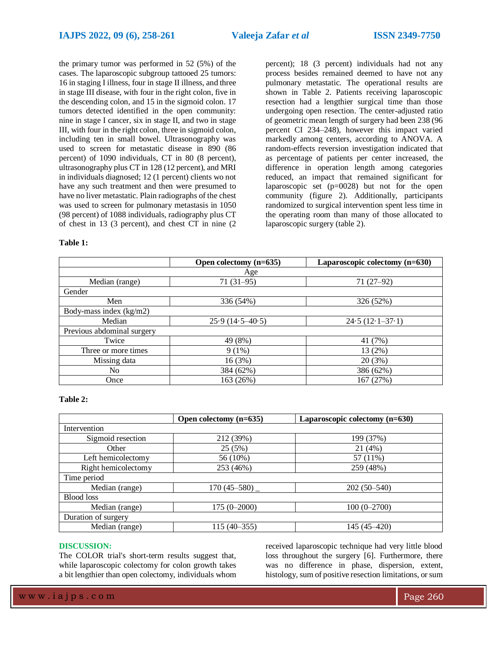the primary tumor was performed in 52 (5%) of the cases. The laparoscopic subgroup tattooed 25 tumors: 16 in staging I illness, four in stage II illness, and three in stage III disease, with four in the right colon, five in the descending colon, and 15 in the sigmoid colon. 17 tumors detected identified in the open community: nine in stage I cancer, six in stage II, and two in stage III, with four in the right colon, three in sigmoid colon, including ten in small bowel. Ultrasonography was used to screen for metastatic disease in 890 (86 percent) of 1090 individuals, CT in 80 (8 percent), ultrasonography plus CT in 128 (12 percent), and MRI in individuals diagnosed; 12 (1 percent) clients wo not have any such treatment and then were presumed to have no liver metastatic. Plain radiographs of the chest was used to screen for pulmonary metastasis in 1050 (98 percent) of 1088 individuals, radiography plus CT of chest in 13 (3 percent), and chest CT in nine (2 percent); 18 (3 percent) individuals had not any process besides remained deemed to have not any pulmonary metastatic. The operational results are shown in Table 2. Patients receiving laparoscopic resection had a lengthier surgical time than those undergoing open resection. The center-adjusted ratio of geometric mean length of surgery had been 238 (96 percent CI 234–248), however this impact varied markedly among centers, according to ANOVA. A random-effects reversion investigation indicated that as percentage of patients per center increased, the difference in operation length among categories reduced, an impact that remained significant for laparoscopic set (p=0028) but not for the open community (figure 2). Additionally, participants randomized to surgical intervention spent less time in the operating room than many of those allocated to laparoscopic surgery (table 2).

### **Table 1:**

|                            | Open colectomy (n=635) | Laparoscopic colectomy (n=630) |  |  |
|----------------------------|------------------------|--------------------------------|--|--|
| Age                        |                        |                                |  |  |
| Median (range)             | $71(31-95)$            | $71(27-92)$                    |  |  |
| Gender                     |                        |                                |  |  |
| Men                        | 336 (54%)              | 326 (52%)                      |  |  |
| Body-mass index $(kg/m2)$  |                        |                                |  |  |
| Median                     | $25.9(14.5-40.5)$      | $24.5(12.1-37.1)$              |  |  |
| Previous abdominal surgery |                        |                                |  |  |
| Twice                      | 49 (8%)                | 41 (7%)                        |  |  |
| Three or more times        | $9(1\%)$               | 13 (2%)                        |  |  |
| Missing data               | 16(3%)                 | 20(3%)                         |  |  |
| N <sub>0</sub>             | 384 (62%)              | 386 (62%)                      |  |  |
| Once                       | 163 (26%)              | 167 (27%)                      |  |  |

### **Table 2:**

|                     | Open colectomy $(n=635)$ | Laparoscopic colectomy (n=630) |
|---------------------|--------------------------|--------------------------------|
| Intervention        |                          |                                |
| Sigmoid resection   | 212 (39%)                | 199 (37%)                      |
| Other               | 25(5%)                   | 21(4%)                         |
| Left hemicolectomy  | 56 (10%)                 | 57 (11%)                       |
| Right hemicolectomy | 253 (46%)                | 259 (48%)                      |
| Time period         |                          |                                |
| Median (range)      | $170(45 - 580)$          | $202(50-540)$                  |
| <b>Blood</b> loss   |                          |                                |
| Median (range)      | $175(0 - 2000)$          | $100(0-2700)$                  |
| Duration of surgery |                          |                                |
| Median (range)      | $115(40-355)$            | 145 (45–420)                   |

### **DISCUSSION:**

The COLOR trial's short-term results suggest that, while laparoscopic colectomy for colon growth takes a bit lengthier than open colectomy, individuals whom received laparoscopic technique had very little blood loss throughout the surgery [6]. Furthermore, there was no difference in phase, dispersion, extent, histology, sum of positive resection limitations, or sum